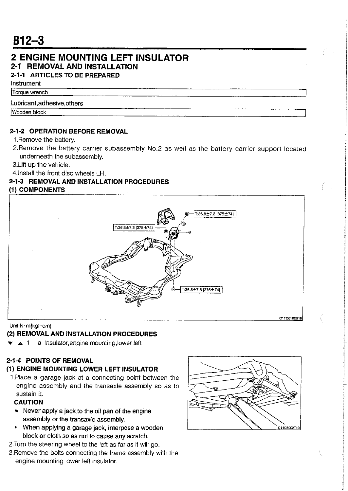# **2 ENGINE MOUNTING LEFT INSULATOR**

# **2-1 REMOVAL AND INSTALLATION**

**2-1-1** ARTICLES TO BE PREPARED

Instrument Torque wrench

### Lubricant, adhesive, others

Wooden block

### **2-1-2** OPERATION BEFORE REMOVAL

1. Remove the battery.

- 2. Remove the battery carrier subassembly No.2 as well as the battery carrier support located underneath the subassembly.
- 3.Lift up the vehicle.
- 4.install the front disc wheels LH.

## **2-1-3** REMOVAL AND INSTALLATION PROCEDURES

### ) COMPONENTS



Unit:N.m{kgf.cm}

# **(2)** REMOVAL AND INSTALLATION PROCEDURES

**v A** 1 a lnsulator,engine mounting,lower left

# **2-1-4** POINTS OF REMOVAL

# **(1)** ENGINE MOUNTING LOWER LEFT INSULATOR

1.Place a garage jack at a connecting point between the engine assembly and the transaxle assembly so as to sustain it.

# CAUTION

- Never apply a jack to the oil pan of the engine assembly or the transaxle assembly.
- \* When applying a garage jack, interpose a wooden block or cloth so as not to cause any scratch.
- 2.Turn the steering wheel to the left as far as it will go.
- 3.Remove the bolts connecting the frame assembly with the engine mounting lower left insulator.

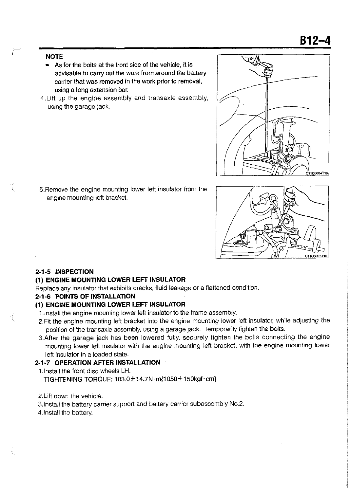#### NOTE

ţ

- As for the bolts at the front side of the vehicle, it is advisable to carry out the work from around the battery carrier that was removed in the work prior to removal, using a long extension bar.
- 4.Lift up the engine assembly and transaxle assembly, using the garage jack.



5.Remove the engine mounting lower left insulator from the engine mounting left bracket.



#### **2-1-5** INSPECTION

#### **(1)** ENGINE MOUNTING LOWER LEFT INSULATOR

Replace any insulator that exhibits cracks, fluid leakage or a flattened condition.

#### **2-1-6** POINTS **OF** INSTALLATION

#### **(1)** ENGINE MOUNTING LOWER LEFT INSULATOR

1.lnstall the engine mounting lower left insulator to the frame assembly.

- 2.Fit the engine mounting left bracket into the engine mounting lower left insulator, while adjusting the position of the transaxle assembly, using a garage jack. Temporarily tighten the bolts.
- 3.After the garage jack has been lowered fully, securely tighten the bolts connecting the engine mounting lower left insulator with the engine mounting left bracket, with the engine mounting lower left insulator in a loaded state.

#### **2-1-7** OPERATION AFTER INSTALLATION

- 1.lnstall the front disc wheels LH.
	- TIGHTENING TORQUE:  $103.0 \pm 14.7$ N  $\cdot$ m{1050 $\pm$ 150kgf $\cdot$ cm}
- 2.Lift down the vehicle.
- 3.lnstall the battery carrier support and battery carrier subassembly No.2.
- 4.lnstall the battery.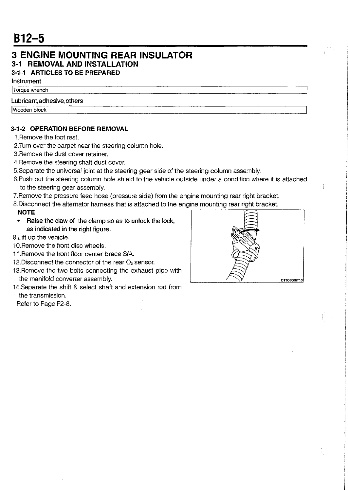# **3 ENGINE MOUNTING REAR INSULATOR 3-1 REMOVAL AND INSTALLATION**

## **3-1-1** ARTICLES TO BE PREPARED

Instrument

# Torque wrench

# Lubricant, adhesive, others

/Wooden block I

### **3-1-2** OPERATION BEFORE REMOVAL

- 1 .Remove the foot rest.
- 2.Turn over the carpet near the steering column hole.
- 3.Remove the dust cover retainer.
- 4.Remove the steering shaft dust cover.
- 5.Separate the universal joint at the steering gear side of the steering column assembly.
- 6.Push out the steering column hole shield to the vehicle outside under a condition where it is attached to the steering gear assembly.
- 7.Remove the pressure feed hose (pressure side) from the engine mounting rear right bracket.
- 8.Disconnect the alternator harness that is attached to the engine mounting rear right bracket.

### **NOTE**

 $\bullet$ Raise the claw of the clamp so as to unlock the lock, as indicated in the right figure.

9.Lift up the vehicle.

- 10.Remove the front disc wheels.
- 11 .Remove the front floor center brace S/A.
- 12. Disconnect the connector of the rear  $O<sub>2</sub>$  sensor.
- 13.Remove the two bolts connecting the exhaust pipe with the manifold converter assembly.
- 14.Separate the shift & select shaft and extension rod from the transmission.

Refer to Page F2-8.

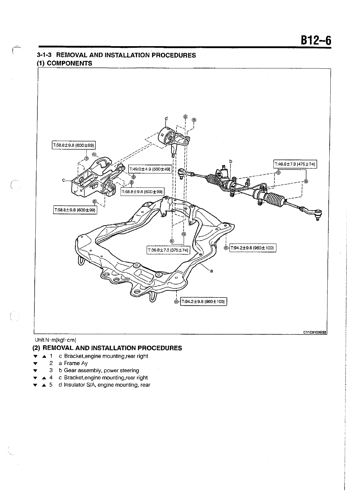### <sup>t</sup>**3-1-3 REMOVAL AND INSTALLATION PROCEDURES**  ) **COMPONENTS**



#### Unit:N-m{kgf-cm}

 $\bigodot$ 

 $\Big(\begin{smallmatrix}1&&1\\&1&1&1\end{smallmatrix}\Big)$ 

#### **(2) REMOVAL AND INSTALLATION PROCEDURES**

- **r A 1** c Bracket,engine mounting,rear right
- **r** 2 a Frame Ay
- **8 b Gear assembly, power steering**<br>**4 c Bracket.engine mounting.rear ri-**
- c Bracket,engine mounting,rear right
- **r A** 5 d Insulator SIA. engine mounting, rear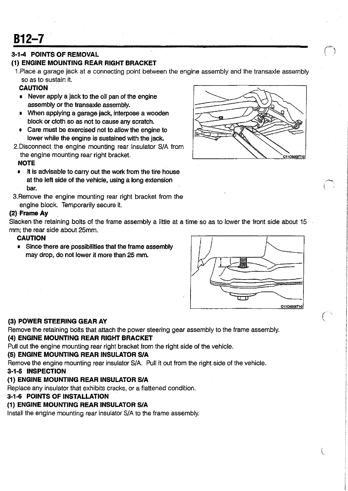$B12 - 7$ 

## **3-1-4** POINTS OF REMOVAL

### **(1)** ENGINE MOUNTING REAR RIGHT BRACKET

1.Place a garage jack at a connecting point between the engine assembly and the transaxle assembly so as to sustain it.

### CAUTION

- Never apply a jack to the oil pan of the engine assembly or the transaxle assembly.
- When applying a garage jack, interpose a wooden block or cloth so as not to cause any scratch.
- Care must be exercised not to allow the engine to lower while the engine is sustained with the jack.
- 2.Disconnect the engine mounting rear insulator SIA from the engine mounting rear right bracket.

#### **NOTE**

- It is advisable to carry out the work from the tire house at the left side of the vehicle, using a long extension bar.
- 3.Remove the engine mounting rear right bracket from the engine block. Temporarily secure it.

#### (2) Frame Ay

Slacken the retaining bolts of the frame assembly a little at a time so as to lower the front side about 15 mm; the rear side about 25mm.

#### CAUTION

Since there are possibilities that the frame assembly may drop, do not lower it more than 25 mm.



#### **(3)** POWER STEERING GEAR AY

Remove the retaining bolts that attach the power steering gear assembly to the frame assembly.

### (4) ENGINE MOUNTING REAR RIGHT BRACKET

Pull out the engine mounting rear right bracket from the right side of the vehicle.

#### (5) ENGINE MOUNTING REAR INSULATOR SIA

Remove the engine mounting rear insulator SIA. Pull it out from the right side of the vehicle.

#### **3-1-5** INSPECTION

# (1) ENGINE MOUNTING REAR INSULATOR SIA

Replace any insulator that exhibits cracks, or a flattened condition.

# **3-1-6** POINTS OF INSTALLATION

# **(1)** ENGINE MOUNTING REAR INSULATOR SIA

Install the engine mounting rear insulator SIA to the frame assembly.